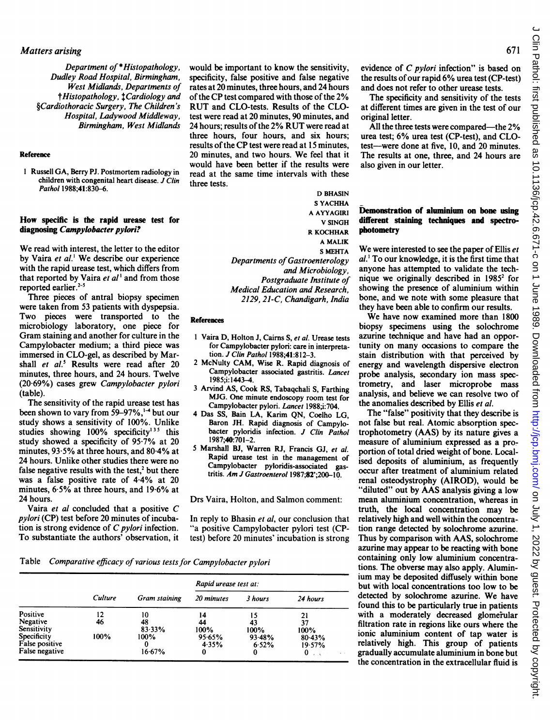Department of \*Histopathology, Dudley Road Hospital, Birmingham, West Midlands, Departments of  $\dagger$ Histopathology,  $\dagger$ Cardiology and §Cardiothoracic Surgery, The Children's Hospital, Ladywood Middleway, Birmingham, West Midlands

#### Reference

<sup>I</sup> Russell GA, Berry PJ. Postmortem radiology in children with congenital heart disease.  $\overrightarrow{J}$  Clin Pathol 1988;41:830-6.

#### How specific is the rapid urease test for diagnosing Campylobacter pylori?

We read with interest, the letter to the editor by Vaira et al.' We describe our experience with the rapid urease test, which differs from that reported by Vaira et al' and from those reported earlier.<sup>2-5</sup>

Three pieces of antral biopsy specimen were taken from 53 patients with dyspepsia. Two pieces were transported to the microbiology laboratory, one piece for Gram staining and another for culture in the Campylobacter medium; a third piece was immersed in CLO-gel, as described by Marshall et al.<sup>5</sup> Results were read after 20 minutes, three hours, and 24 hours. Twelve (20 69%) cases grew Campylobacter pylori (table).

The sensitivity of the rapid urease test has been shown to vary from  $59-97\%$ ,<sup>1-4</sup> but our study shows a sensitivity of 100%. Unlike studies showing 100% specificity<sup>135</sup> this study showed a specificity of 95.7% at 20 minutes, <sup>93</sup> 5% at three hours, and 80-4% at 24 hours. Unlike other studies there were no false negative results with the test,<sup>2</sup> but there was a false positive rate of 4-4% at 20 minutes, 6-5% at three hours, and 19-6% at 24 hours.

Vaira et al concluded that <sup>a</sup> positive C pylori (CP) test before 20 minutes of incubation is strong evidence of  $C$  pylori infection. To substantiate the authors' observation, it would be important to know the sensitivity, specificity, false positive and false negative rates at 20 minutes, three hours, and 24 hours of the CP test compared with those of the 2% RUT and CLO-tests. Results of the CLOtest were read at 20 minutes, 90 minutes, and <sup>24</sup> hours; results of the 2% RUT were read at three hours, four hours, and six hours; results of the CP test were read at <sup>15</sup> minutes, <sup>20</sup> minutes, and two hours. We feel that it would have been better if the results were read at the same time intervals with these three tests.

> D BHASIN <sup>S</sup> YACHHA A AYYAGIRI V SINGH R KOCHHAR A MALIK S MEHTA Departments of Gastroenterology and Microbiology, Postgraduate Institute of Medical Education and Research, 2129,21-C, Chandigarh, India

#### References

- <sup>1</sup> Vaira D, Holton J, Cairns S, et al. Urease tests for Campylobacter pylori: care in interpretation. J Clin Pathol 1988;41:812-3.
- 2 McNulty CAM, Wise R. Rapid diagnosis of Campylobacter associated gastritis. Lancet 1985;i: 1443-4.
- 3 Arvind AS, Cook RS, Tabaqchali S, Farthing MJG. One minute endoscopy room test for Campylobacter pylori. Lancet 1988;i:704.
- 4 Das SS, Bain LA, Karim QN, Coelho LG, Baron JH. Rapid diagnosis of Campylobacter pyloridis infection. J Clin Pathol 1987;40:701-2.
- 5 Marshall BJ, Warren RJ, Francis GJ, et al. Rapid urease test in the management of Campylobacter pyloridis-associated gastritis. Am J Gastroenterol 1987;82';200-10.

Drs Vaira, Holton, and Salmon comment:

In reply to Bhasin et al, our conclusion that "a positive Campylobacter pylori test (CPtest) before 20 minutes' incubation is strong

Table Comparative efficacy of various tests for Campylobacter pylori

|                | Culture | Gram staining | Rapid urease test at: |         |                         |
|----------------|---------|---------------|-----------------------|---------|-------------------------|
|                |         |               | 20 minutes            | 3 hours | 24 hours                |
| Positive       | 12      | 10            | 14                    | 15      | 21                      |
| Negative       | 46      | 48            | 44                    | 43      | 37                      |
| Sensitivity    |         | 83.33%        | 100%                  | 100%    | 100%                    |
| Specificity    | 100%    | 100%          | 95.65%                | 93.48%  | 80.43%                  |
| False positive |         |               | 4.35%                 | 6.52%   | 19.57%                  |
| False negative |         | 16.67%        | 0                     | 0       | $\lambda \rightarrow 0$ |

evidence of C pylori infection" is based on the results of our rapid 6% urea test (CP-test) and does not refer to other urease tests.

The specificity and sensitivity of the tests at different times are given in the test of our original letter.

All the three tests were compared-the 2% urea test; 6% urea test (CP-test), and CLOtest--were done at five, 10, and 20 minutes. The results at one, three, and 24 hours are also given in our letter.

### Demonstration of aluminium on bone using different staining techniques and spectrophotometry

We were interested to see the paper of Ellis et al.' To our knowledge, it is the first time that anyone has attempted to validate the technique we originally described in  $1985<sup>2</sup>$  for showing the presence of aluminium within bone, and we note with some pleasure that they have been able to confirm our results.

We have now examined more than <sup>1800</sup> biopsy specimens using the solochrome azurine technique and have had an opportunity on many occasions to compare the stain distribution with that perceived by energy and wavelength dispersive electron probe analysis, secondary ion mass spectrometry, and laser microprobe mass analysis, and believe we can resolve two of the anomalies described by Ellis et al.

The "false" positivity that they describe is not false but real. Atomic absorption spectrophotometry (AAS) by its nature gives a measure of aluminium expressed as a proportion of total dried weight of bone. Localised deposits of aluminium, as frequently occur after treatment of aluminium related renal osteodystrophy (AIROD), would be "diluted" out by AAS analysis giving <sup>a</sup> low mean aluminium concentration, whereas in truth, the local concentration may be relatively high and well within the concentration range detected by solochrome azurine. Thus by comparison with AAS, solochrome azurine may appear to be reacting with bone containing only low aluminium concentrations. The obverse may also apply. Aluminium may be deposited diffusely within bone but with local concentrations too low to be detected by solochrome azurine. We have found this to be particularly true in patients with a moderately decreased glomerular filtration rate in regions like ours where the ionic aluminium content of tap water is relatively high. This group of patients gradually accumulate aluminium in bone but the concentration in the extracellular fluid is